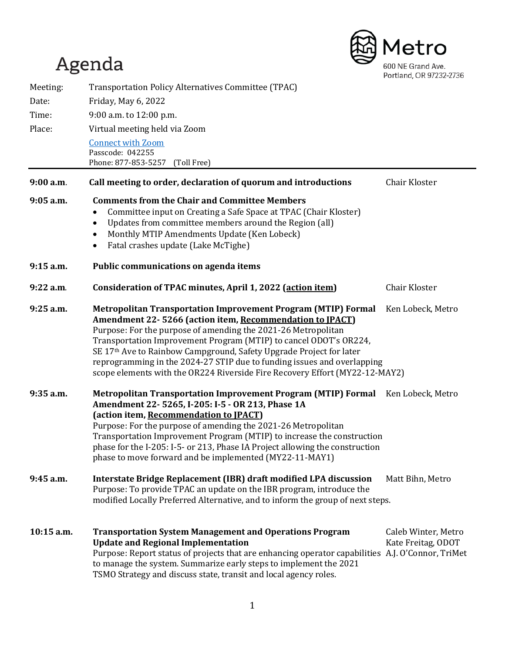# Agenda 600 NE Grand Ave. Portland, OR 97232-2736 Meeting: Transportation Policy Alternatives Committee (TPAC) Date: Friday, May 6, 2022 Time: 9:00 a.m. to 12:00 p.m. Place: Virtual meeting held via Zoom [Connect with Zoom](https://us02web.zoom.us/j/85748109929?pwd=aWNzQmZOdlR6OVZkNkJDYTdTWU9MZz09) Passcode: 042255 Phone: 877-853-5257 (Toll Free) **9:00 a.m**. **Call meeting to order, declaration of quorum and introductions** Chair Kloster **9:05 a.m. Comments from the Chair and Committee Members** • Committee input on Creating a Safe Space at TPAC (Chair Kloster) • Updates from committee members around the Region (all) • Monthly MTIP Amendments Update (Ken Lobeck) • Fatal crashes update (Lake McTighe) **9:15 a.m. Public communications on agenda items 9:22 a.m**. **Consideration of TPAC minutes, April 1, 2022 (action item)** Chair Kloster **9:25 a.m. Metropolitan Transportation Improvement Program (MTIP) Formal** Ken Lobeck, Metro **Amendment 22- 5266 (action item, Recommendation to JPACT)** Purpose: For the purpose of amending the 2021-26 Metropolitan Transportation Improvement Program (MTIP) to cancel ODOT's OR224, SE 17th Ave to Rainbow Campground, Safety Upgrade Project for later reprogramming in the 2024-27 STIP due to funding issues and overlapping scope elements with the OR224 Riverside Fire Recovery Effort (MY22-12-MAY2) **9:35 a.m. Metropolitan Transportation Improvement Program (MTIP) Formal** Ken Lobeck, Metro **Amendment 22- 5265, I-205: I-5 - OR 213, Phase 1A (action item, Recommendation to JPACT)** Purpose: For the purpose of amending the 2021-26 Metropolitan Transportation Improvement Program (MTIP) to increase the construction phase for the I-205: I-5- or 213, Phase IA Project allowing the construction phase to move forward and be implemented (MY22-11-MAY1)

- **9:45 a.m. Interstate Bridge Replacement (IBR) draft modified LPA discussion** Matt Bihn, Metro Purpose: To provide TPAC an update on the IBR program, introduce the modified Locally Preferred Alternative, and to inform the group of next steps.
- **10:15 a.m. Transportation System Management and Operations Program** Caleb Winter, Metro **Update and Regional Implementation** Purpose: Report status of projects that are enhancing operator capabilities A.J. O'Connor, TriMet to manage the system. Summarize early steps to implement the 2021 TSMO Strategy and discuss state, transit and local agency roles.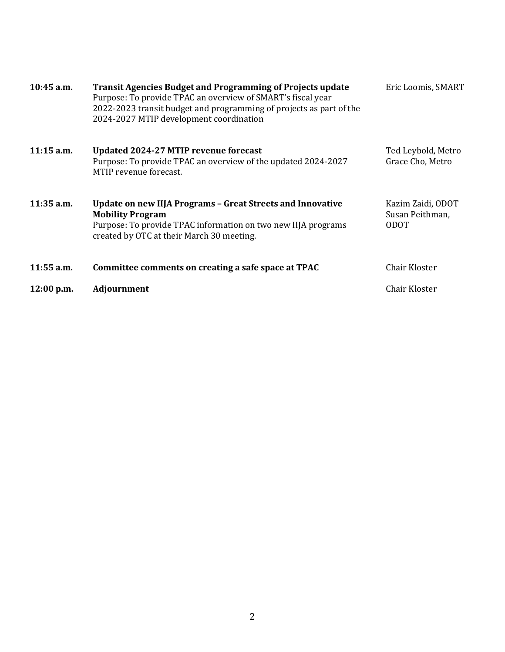| $10:45$ a.m. | <b>Transit Agencies Budget and Programming of Projects update</b><br>Purpose: To provide TPAC an overview of SMART's fiscal year<br>2022-2023 transit budget and programming of projects as part of the<br>2024-2027 MTIP development coordination | Eric Loomis, SMART                                  |
|--------------|----------------------------------------------------------------------------------------------------------------------------------------------------------------------------------------------------------------------------------------------------|-----------------------------------------------------|
| $11:15$ a.m. | Updated 2024-27 MTIP revenue forecast<br>Purpose: To provide TPAC an overview of the updated 2024-2027<br>MTIP revenue forecast.                                                                                                                   | Ted Leybold, Metro<br>Grace Cho, Metro              |
| $11:35$ a.m. | Update on new IIJA Programs - Great Streets and Innovative<br><b>Mobility Program</b><br>Purpose: To provide TPAC information on two new IIJA programs<br>created by OTC at their March 30 meeting.                                                | Kazim Zaidi, ODOT<br>Susan Peithman,<br><b>ODOT</b> |
| $11:55$ a.m. | Committee comments on creating a safe space at TPAC                                                                                                                                                                                                | Chair Kloster                                       |
| 12:00 p.m.   | <b>Adjournment</b>                                                                                                                                                                                                                                 | Chair Kloster                                       |